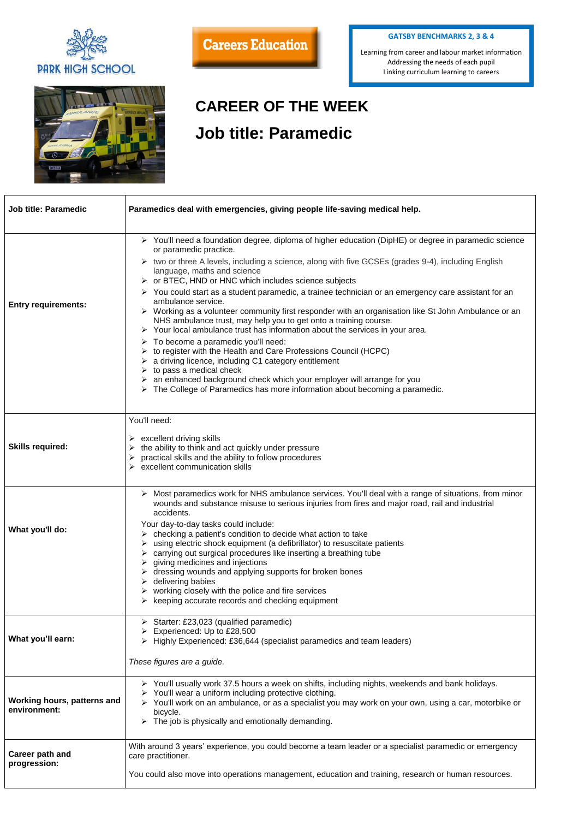

## **Careers Education**

## **CAREER OF THE WEEK Job title: Paramedic**

| <b>Job title: Paramedic</b>                 | Paramedics deal with emergencies, giving people life-saving medical help.                                                                                                                                                                                                                                                                                                                                                                                                                                                                                                                                                                                                                                                                                                                                                                                                                                                                                                                                                                                                                                                   |
|---------------------------------------------|-----------------------------------------------------------------------------------------------------------------------------------------------------------------------------------------------------------------------------------------------------------------------------------------------------------------------------------------------------------------------------------------------------------------------------------------------------------------------------------------------------------------------------------------------------------------------------------------------------------------------------------------------------------------------------------------------------------------------------------------------------------------------------------------------------------------------------------------------------------------------------------------------------------------------------------------------------------------------------------------------------------------------------------------------------------------------------------------------------------------------------|
| <b>Entry requirements:</b>                  | > You'll need a foundation degree, diploma of higher education (DipHE) or degree in paramedic science<br>or paramedic practice.<br>▶ two or three A levels, including a science, along with five GCSEs (grades 9-4), including English<br>language, maths and science<br>$\triangleright$ or BTEC, HND or HNC which includes science subjects<br>> You could start as a student paramedic, a trainee technician or an emergency care assistant for an<br>ambulance service.<br>▶ Working as a volunteer community first responder with an organisation like St John Ambulance or an<br>NHS ambulance trust, may help you to get onto a training course.<br>Your local ambulance trust has information about the services in your area.<br>To become a paramedic you'll need:<br>to register with the Health and Care Professions Council (HCPC)<br>a driving licence, including C1 category entitlement<br>to pass a medical check<br>$\triangleright$ an enhanced background check which your employer will arrange for you<br>$\triangleright$ The College of Paramedics has more information about becoming a paramedic. |
| <b>Skills required:</b>                     | You'll need:<br>$\triangleright$ excellent driving skills<br>the ability to think and act quickly under pressure<br>practical skills and the ability to follow procedures<br>$\triangleright$ excellent communication skills                                                                                                                                                                                                                                                                                                                                                                                                                                                                                                                                                                                                                                                                                                                                                                                                                                                                                                |
| What you'll do:                             | Most paramedics work for NHS ambulance services. You'll deal with a range of situations, from minor<br>wounds and substance misuse to serious injuries from fires and major road, rail and industrial<br>accidents.<br>Your day-to-day tasks could include:<br>checking a patient's condition to decide what action to take<br>using electric shock equipment (a defibrillator) to resuscitate patients<br>carrying out surgical procedures like inserting a breathing tube<br>giving medicines and injections<br>dressing wounds and applying supports for broken bones<br>delivering babies<br>working closely with the police and fire services<br>keeping accurate records and checking equipment                                                                                                                                                                                                                                                                                                                                                                                                                       |
| What you'll earn:                           | Starter: £23,023 (qualified paramedic)<br>Experienced: Up to £28,500<br>Highly Experienced: £36,644 (specialist paramedics and team leaders)<br>These figures are a guide.                                                                                                                                                                                                                                                                                                                                                                                                                                                                                                                                                                                                                                                                                                                                                                                                                                                                                                                                                  |
| Working hours, patterns and<br>environment: | ▶ You'll usually work 37.5 hours a week on shifts, including nights, weekends and bank holidays.<br>$\triangleright$ You'll wear a uniform including protective clothing.<br>> You'll work on an ambulance, or as a specialist you may work on your own, using a car, motorbike or<br>bicycle.<br>The job is physically and emotionally demanding.                                                                                                                                                                                                                                                                                                                                                                                                                                                                                                                                                                                                                                                                                                                                                                          |
| <b>Career path and</b><br>progression:      | With around 3 years' experience, you could become a team leader or a specialist paramedic or emergency<br>care practitioner.<br>You could also move into operations management, education and training, research or human resources.                                                                                                                                                                                                                                                                                                                                                                                                                                                                                                                                                                                                                                                                                                                                                                                                                                                                                        |

## **GATSBY BENCHMARKS 2, 3 & 4**

Learning from career and labour market information Addressing the needs of each pupil Linking curriculum learning to careers